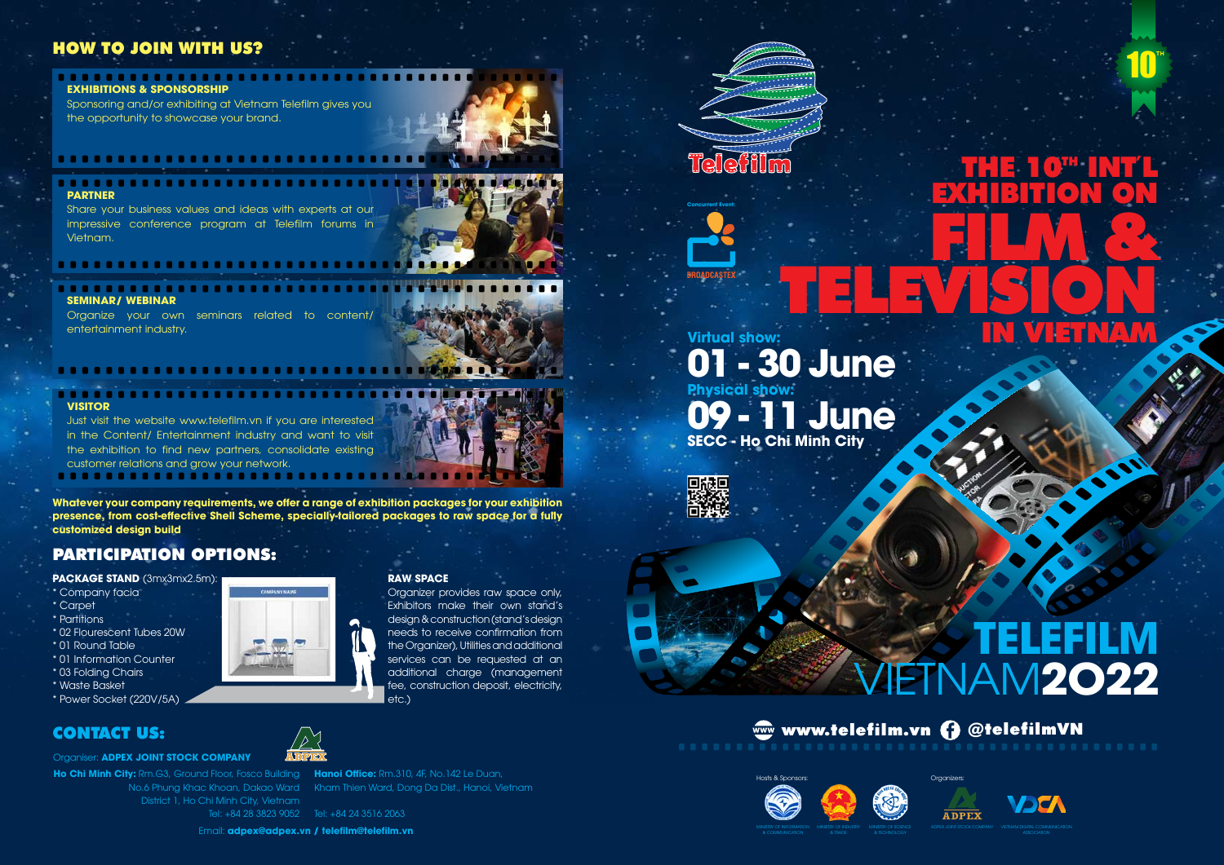EXHIBITION ON

FILM &

Organizers







# **1 June 01 - 30 June SECC - Ho Chi Minh City Physical show: Virtual show:**

回缺回

#### ........................... **EXHIBITIONS & SPONSORSHIP**



# **TELEFILM** VIETNAM**2O22**

THE 10™ INT'L

#### . . . . . . . . . **PARTNER**

**Concurrent Event:**

# HOW TO JOIN WITH US?

. . . . . . . . . . . . . . . . . .



# PARTICIPATION OPTIONS:

Sponsoring and/or exhibiting at Vietnam Telefilm gives you the opportunity to showcase your brand.

Share your business values and ideas with experts at our impressive conference program at Telefilm forums in Vietnam.



Organize your own seminars related to content/ entertainment industry.

**Ho Chi Minh City:** Rm.G3, Ground Floor, Fosco Building **Hanoi Office:** Rm.310, 4F, No.142 Le Duan, District 1, Ho Chi Minh City, Vietnam

No.6 Phung Khac Khoan, Dakao Ward Kham Thien Ward, Dong Da Dist., Hanoi, Vietnam

**VISITOR**

. . . . . . . . .

. . . . . . . . . . . . .



customer relations and grow your network.

Organiser: **ADPEX JOINT STOCK COMPANY**

Email: **adpex@adpex.vn / telefilm@telefilm.vn**



Tel: +84 24 3516 2063 Tel: +84 28 3823 9052



**PACKAGE STAND** (3mx3mx2.5m):

\* Company facia

- \* Carpet
- \* Partitions
- \* 02 Flourescent Tubes 20W
- \* 01 Round Table
- \* 01 Information Counter
- \* 03 Folding Chairs
- \* Waste Basket
- \* Power Socket (220V/5A)

**Whatever your company requirements, we offer a range of exhibition packages for your exhibition presence, from cost-effective Shell Scheme, specially-tailored packages to raw space for a fully customized design build**

#### **RAW SPACE**

Organizer provides raw space only, Exhibitors make their own stand's design & construction (stand's design needs to receive confirmation from the Organizer), Utilities and additional services can be requested at an additional charge (management fee, construction deposit, electricity, etc.)

**TH**

10

**NYIE EN YAVA** 

& COMMUNICATION

& TRADE



& TECHNOLOGY